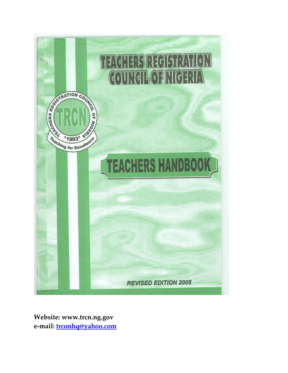

**Website: www.trcn.ng.gov e-mail: [trconhq@yahoo.com](mailto:trconhq@yahoo.com)**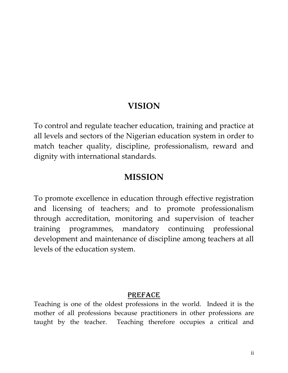# **VISION**

To control and regulate teacher education, training and practice at all levels and sectors of the Nigerian education system in order to match teacher quality, discipline, professionalism, reward and dignity with international standards.

# **MISSION**

To promote excellence in education through effective registration and licensing of teachers; and to promote professionalism through accreditation, monitoring and supervision of teacher training programmes, mandatory continuing professional development and maintenance of discipline among teachers at all levels of the education system.

# PREFACE

Teaching is one of the oldest professions in the world. Indeed it is the mother of all professions because practitioners in other professions are taught by the teacher. Teaching therefore occupies a critical and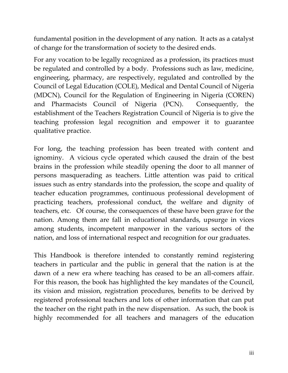fundamental position in the development of any nation. It acts as a catalyst of change for the transformation of society to the desired ends.

For any vocation to be legally recognized as a profession, its practices must be regulated and controlled by a body. Professions such as law, medicine, engineering, pharmacy, are respectively, regulated and controlled by the Council of Legal Education (COLE), Medical and Dental Council of Nigeria (MDCN), Council for the Regulation of Engineering in Nigeria (COREN) and Pharmacists Council of Nigeria (PCN). Consequently, the establishment of the Teachers Registration Council of Nigeria is to give the teaching profession legal recognition and empower it to guarantee qualitative practice.

For long, the teaching profession has been treated with content and ignominy. A vicious cycle operated which caused the drain of the best brains in the profession while steadily opening the door to all manner of persons masquerading as teachers. Little attention was paid to critical issues such as entry standards into the profession, the scope and quality of teacher education programmes, continuous professional development of practicing teachers, professional conduct, the welfare and dignity of teachers, etc. Of course, the consequences of these have been grave for the nation. Among them are fall in educational standards, upsurge in vices among students, incompetent manpower in the various sectors of the nation, and loss of international respect and recognition for our graduates.

This Handbook is therefore intended to constantly remind registering teachers in particular and the public in general that the nation is at the dawn of a new era where teaching has ceased to be an all-comers affair. For this reason, the book has highlighted the key mandates of the Council, its vision and mission, registration procedures, benefits to be derived by registered professional teachers and lots of other information that can put the teacher on the right path in the new dispensation. As such, the book is highly recommended for all teachers and managers of the education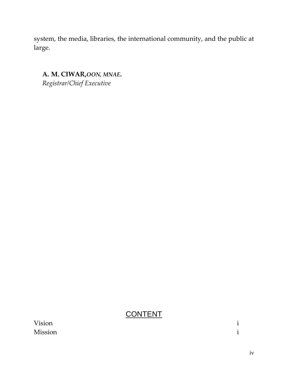system, the media, libraries, the international community, and the public at large.

**A. M. CIWAR,***OON, MNAE***.** *Registrar/Chief Executive*

# **CONTENT**

| Vision         |  |
|----------------|--|
| <b>Mission</b> |  |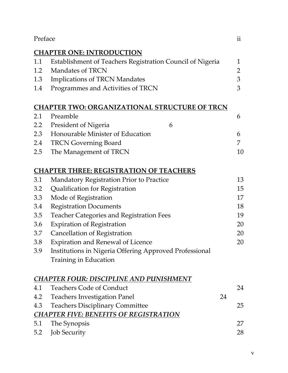| Preface                                              |                                                           |              |  |  |  |  |
|------------------------------------------------------|-----------------------------------------------------------|--------------|--|--|--|--|
|                                                      | <b>CHAPTER ONE: INTRODUCTION</b>                          |              |  |  |  |  |
| 1.1                                                  | Establishment of Teachers Registration Council of Nigeria | $\mathbf{1}$ |  |  |  |  |
| 1.2                                                  | Mandates of TRCN                                          | 2            |  |  |  |  |
| 1.3                                                  | <b>Implications of TRCN Mandates</b>                      | 3            |  |  |  |  |
| 1.4                                                  | Programmes and Activities of TRCN                         | 3            |  |  |  |  |
| <b>CHAPTER TWO: ORGANIZATIONAL STRUCTURE OF TRCN</b> |                                                           |              |  |  |  |  |
| 2.1                                                  | Preamble                                                  | 6            |  |  |  |  |
| 2.2                                                  | <b>President of Nigeria</b><br>6                          |              |  |  |  |  |
| 2.3                                                  | Honourable Minister of Education                          | 6            |  |  |  |  |
| 2.4                                                  | <b>TRCN Governing Board</b>                               | 7            |  |  |  |  |
| 2.5                                                  | The Management of TRCN                                    | 10           |  |  |  |  |
| <b>CHAPTER THREE: REGISTRATION OF TEACHERS</b>       |                                                           |              |  |  |  |  |
| 3.1                                                  | Mandatory Registration Prior to Practice                  | 13           |  |  |  |  |
| 3.2                                                  | Qualification for Registration                            | 15           |  |  |  |  |
| 3.3                                                  | Mode of Registration                                      | 17           |  |  |  |  |
| 3.4                                                  | <b>Registration Documents</b>                             | 18           |  |  |  |  |
| 3.5                                                  | <b>Teacher Categories and Registration Fees</b>           | 19           |  |  |  |  |
| 3.6                                                  | <b>Expiration of Registration</b>                         | 20           |  |  |  |  |
| 3.7                                                  | Cancellation of Registration                              | 20           |  |  |  |  |
| 3.8                                                  | <b>Expiration and Renewal of Licence</b>                  | 20           |  |  |  |  |
| 3.9                                                  | Institutions in Nigeria Offering Approved Professional    |              |  |  |  |  |
|                                                      | Training in Education                                     |              |  |  |  |  |
| <b>CHAPTER FOUR: DISCIPLINE AND PUNISHMENT</b>       |                                                           |              |  |  |  |  |
| 4.1                                                  | <b>Teachers Code of Conduct</b>                           | 24           |  |  |  |  |
| 4.2                                                  | <b>Teachers Investigation Panel</b><br>24                 |              |  |  |  |  |
| 4.3                                                  | <b>Teachers Disciplinary Committee</b>                    | 25           |  |  |  |  |
| <b>CHAPTER FIVE: BENEFITS OF REGISTRATION</b>        |                                                           |              |  |  |  |  |
| 5.1                                                  | The Synopsis                                              | 27           |  |  |  |  |
| 5.2                                                  | <b>Job Security</b>                                       | 28           |  |  |  |  |
|                                                      |                                                           |              |  |  |  |  |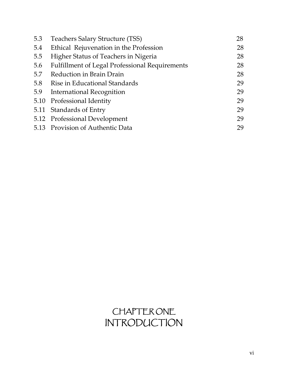| 5.3 | Teachers Salary Structure (TSS)                       | 28 |
|-----|-------------------------------------------------------|----|
| 5.4 | Ethical Rejuvenation in the Profession                | 28 |
| 5.5 | Higher Status of Teachers in Nigeria                  | 28 |
| 5.6 | <b>Fulfillment of Legal Professional Requirements</b> | 28 |
| 5.7 | Reduction in Brain Drain                              | 28 |
| 5.8 | Rise in Educational Standards                         | 29 |
| 5.9 | International Recognition                             | 29 |
|     | 5.10 Professional Identity                            | 29 |
|     | 5.11 Standards of Entry                               | 29 |
|     | 5.12 Professional Development                         | 29 |
|     | 5.13 Provision of Authentic Data                      | 29 |

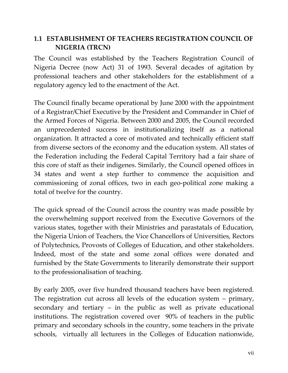# **1.1 ESTABLISHMENT OF TEACHERS REGISTRATION COUNCIL OF NIGERIA (TRCN)**

The Council was established by the Teachers Registration Council of Nigeria Decree (now Act) 31 of 1993. Several decades of agitation by professional teachers and other stakeholders for the establishment of a regulatory agency led to the enactment of the Act.

The Council finally became operational by June 2000 with the appointment of a Registrar/Chief Executive by the President and Commander in Chief of the Armed Forces of Nigeria. Between 2000 and 2005, the Council recorded an unprecedented success in institutionalizing itself as a national organization. It attracted a core of motivated and technically efficient staff from diverse sectors of the economy and the education system. All states of the Federation including the Federal Capital Territory had a fair share of this core of staff as their indigenes. Similarly, the Council opened offices in 34 states and went a step further to commence the acquisition and commissioning of zonal offices, two in each geo-political zone making a total of twelve for the country.

The quick spread of the Council across the country was made possible by the overwhelming support received from the Executive Governors of the various states, together with their Ministries and parastatals of Education, the Nigeria Union of Teachers, the Vice Chancellors of Universities, Rectors of Polytechnics, Provosts of Colleges of Education, and other stakeholders. Indeed, most of the state and some zonal offices were donated and furnished by the State Governments to literarily demonstrate their support to the professionalisation of teaching.

By early 2005, over five hundred thousand teachers have been registered. The registration cut across all levels of the education system – primary, secondary and tertiary – in the public as well as private educational institutions. The registration covered over 90% of teachers in the public primary and secondary schools in the country, some teachers in the private schools, virtually all lecturers in the Colleges of Education nationwide,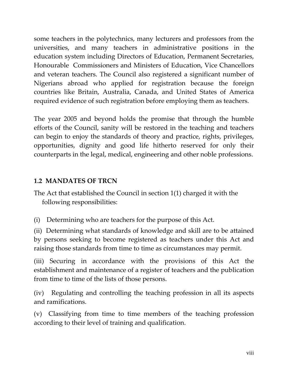some teachers in the polytechnics, many lecturers and professors from the universities, and many teachers in administrative positions in the education system including Directors of Education, Permanent Secretaries, Honourable Commissioners and Ministers of Education, Vice Chancellors and veteran teachers. The Council also registered a significant number of Nigerians abroad who applied for registration because the foreign countries like Britain, Australia, Canada, and United States of America required evidence of such registration before employing them as teachers.

The year 2005 and beyond holds the promise that through the humble efforts of the Council, sanity will be restored in the teaching and teachers can begin to enjoy the standards of theory and practice, rights, privileges, opportunities, dignity and good life hitherto reserved for only their counterparts in the legal, medical, engineering and other noble professions.

# **1.2 MANDATES OF TRCN**

The Act that established the Council in section 1(1) charged it with the following responsibilities:

(i) Determining who are teachers for the purpose of this Act.

(ii) Determining what standards of knowledge and skill are to be attained by persons seeking to become registered as teachers under this Act and raising those standards from time to time as circumstances may permit.

(iii) Securing in accordance with the provisions of this Act the establishment and maintenance of a register of teachers and the publication from time to time of the lists of those persons.

(iv) Regulating and controlling the teaching profession in all its aspects and ramifications.

(v) Classifying from time to time members of the teaching profession according to their level of training and qualification.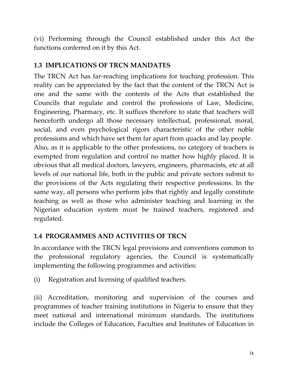(vi) Performing through the Council established under this Act the functions conferred on it by this Act.

# **1.3 IMPLICATIONS OF TRCN MANDATES**

The TRCN Act has far-reaching implications for teaching profession. This reality can be appreciated by the fact that the content of the TRCN Act is one and the same with the contents of the Acts that established the Councils that regulate and control the professions of Law, Medicine, Engineering, Pharmacy, etc. It suffices therefore to state that teachers will henceforth undergo all those necessary intellectual, professional, moral, social, and even psychological rigors characteristic of the other noble professions and which have set them far apart from quacks and lay people. Also, as it is applicable to the other professions, no category of teachers is exempted from regulation and control no matter how highly placed. It is obvious that all medical doctors, lawyers, engineers, pharmacists, etc at all levels of our national life, both in the public and private sectors submit to the provisions of the Acts regulating their respective professions. In the same way, all persons who perform jobs that rightly and legally constitute teaching as well as those who administer teaching and learning in the Nigerian education system must be trained teachers, registered and regulated.

# **1.4 PROGRAMMES AND ACTIVITIES OF TRCN**

In accordance with the TRCN legal provisions and conventions common to the professional regulatory agencies, the Council is systematically implementing the following programmes and activities:

(i) Registration and licensing of qualified teachers.

(ii) Accreditation, monitoring and supervision of the courses and programmes of teacher training institutions in Nigeria to ensure that they meet national and international minimum standards. The institutions include the Colleges of Education, Faculties and Institutes of Education in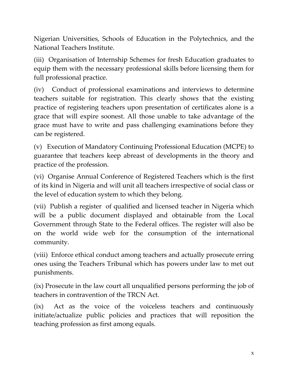Nigerian Universities, Schools of Education in the Polytechnics, and the National Teachers Institute.

(iii) Organisation of Internship Schemes for fresh Education graduates to equip them with the necessary professional skills before licensing them for full professional practice.

(iv) Conduct of professional examinations and interviews to determine teachers suitable for registration. This clearly shows that the existing practice of registering teachers upon presentation of certificates alone is a grace that will expire soonest. All those unable to take advantage of the grace must have to write and pass challenging examinations before they can be registered.

(v) Execution of Mandatory Continuing Professional Education (MCPE) to guarantee that teachers keep abreast of developments in the theory and practice of the profession.

(vi) Organise Annual Conference of Registered Teachers which is the first of its kind in Nigeria and will unit all teachers irrespective of social class or the level of education system to which they belong.

(vii) Publish a register of qualified and licensed teacher in Nigeria which will be a public document displayed and obtainable from the Local Government through State to the Federal offices. The register will also be on the world wide web for the consumption of the international community.

(viii) Enforce ethical conduct among teachers and actually prosecute erring ones using the Teachers Tribunal which has powers under law to met out punishments.

(ix) Prosecute in the law court all unqualified persons performing the job of teachers in contravention of the TRCN Act.

(ix) Act as the voice of the voiceless teachers and continuously initiate/actualize public policies and practices that will reposition the teaching profession as first among equals.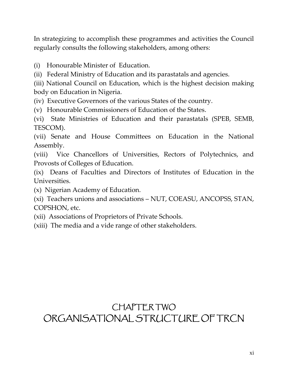In strategizing to accomplish these programmes and activities the Council regularly consults the following stakeholders, among others:

(i) Honourable Minister of Education.

(ii) Federal Ministry of Education and its parastatals and agencies.

(iii) National Council on Education, which is the highest decision making body on Education in Nigeria.

(iv) Executive Governors of the various States of the country.

(v) Honourable Commissioners of Education of the States.

(vi) State Ministries of Education and their parastatals (SPEB, SEMB, TESCOM).

(vii) Senate and House Committees on Education in the National Assembly.

(viii) Vice Chancellors of Universities, Rectors of Polytechnics, and Provosts of Colleges of Education.

(ix) Deans of Faculties and Directors of Institutes of Education in the Universities.

(x) Nigerian Academy of Education.

(xi) Teachers unions and associations – NUT, COEASU, ANCOPSS, STAN, COPSHON, etc.

(xii) Associations of Proprietors of Private Schools.

(xiii) The media and a vide range of other stakeholders.

# CHAPTER TWO ORGANISATIONAL STRUCTURE OF TRCN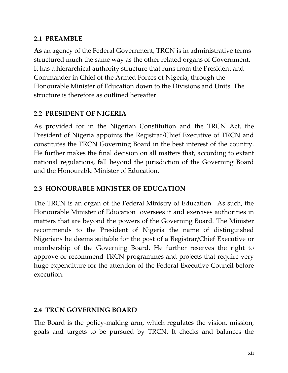# **2.1 PREAMBLE**

**As** an agency of the Federal Government, TRCN is in administrative terms structured much the same way as the other related organs of Government. It has a hierarchical authority structure that runs from the President and Commander in Chief of the Armed Forces of Nigeria, through the Honourable Minister of Education down to the Divisions and Units. The structure is therefore as outlined hereafter.

# **2.2 PRESIDENT OF NIGERIA**

As provided for in the Nigerian Constitution and the TRCN Act, the President of Nigeria appoints the Registrar/Chief Executive of TRCN and constitutes the TRCN Governing Board in the best interest of the country. He further makes the final decision on all matters that, according to extant national regulations, fall beyond the jurisdiction of the Governing Board and the Honourable Minister of Education.

# **2.3 HONOURABLE MINISTER OF EDUCATION**

The TRCN is an organ of the Federal Ministry of Education. As such, the Honourable Minister of Education oversees it and exercises authorities in matters that are beyond the powers of the Governing Board. The Minister recommends to the President of Nigeria the name of distinguished Nigerians he deems suitable for the post of a Registrar/Chief Executive or membership of the Governing Board. He further reserves the right to approve or recommend TRCN programmes and projects that require very huge expenditure for the attention of the Federal Executive Council before execution.

# **2.4 TRCN GOVERNING BOARD**

The Board is the policy-making arm, which regulates the vision, mission, goals and targets to be pursued by TRCN. It checks and balances the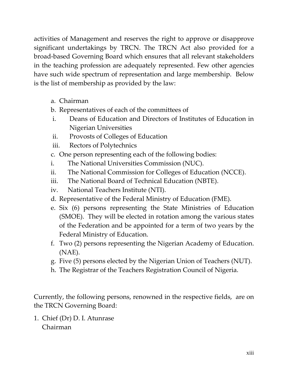activities of Management and reserves the right to approve or disapprove significant undertakings by TRCN. The TRCN Act also provided for a broad-based Governing Board which ensures that all relevant stakeholders in the teaching profession are adequately represented. Few other agencies have such wide spectrum of representation and large membership. Below is the list of membership as provided by the law:

- a. Chairman
- b. Representatives of each of the committees of
- i. Deans of Education and Directors of Institutes of Education in Nigerian Universities
- ii. Provosts of Colleges of Education
- iii. Rectors of Polytechnics
- c. One person representing each of the following bodies:
- i. The National Universities Commission (NUC).
- ii. The National Commission for Colleges of Education (NCCE).
- iii. The National Board of Technical Education (NBTE).
- iv. National Teachers Institute (NTI).
- d. Representative of the Federal Ministry of Education (FME).
- e. Six (6) persons representing the State Ministries of Education (SMOE). They will be elected in rotation among the various states of the Federation and be appointed for a term of two years by the Federal Ministry of Education.
- f. Two (2) persons representing the Nigerian Academy of Education. (NAE).
- g. Five (5) persons elected by the Nigerian Union of Teachers (NUT).
- h. The Registrar of the Teachers Registration Council of Nigeria.

Currently, the following persons, renowned in the respective fields, are on the TRCN Governing Board:

1. Chief (Dr) D. I. Atunrase Chairman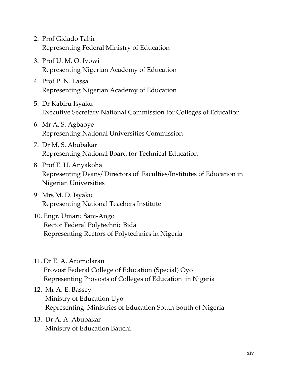- 2. Prof Gidado Tahir Representing Federal Ministry of Education
- 3. Prof U. M. O. Ivowi Representing Nigerian Academy of Education
- 4. Prof P. N. Lassa Representing Nigerian Academy of Education
- 5. Dr Kabiru Isyaku Executive Secretary National Commission for Colleges of Education
- 6. Mr A. S. Agbaoye Representing National Universities Commission
- 7. Dr M. S. Abubakar Representing National Board for Technical Education
- 8. Prof E. U. Anyakoha Representing Deans/ Directors of Faculties/Institutes of Education in Nigerian Universities
- 9. Mrs M. D. Isyaku Representing National Teachers Institute
- 10. Engr. Umaru Sani-Ango Rector Federal Polytechnic Bida Representing Rectors of Polytechnics in Nigeria
- 11. Dr E. A. Aromolaran Provost Federal College of Education (Special) Oyo Representing Provosts of Colleges of Education in Nigeria
- 12. Mr A. E. Bassey Ministry of Education Uyo Representing Ministries of Education South-South of Nigeria
- 13. Dr A. A. Abubakar Ministry of Education Bauchi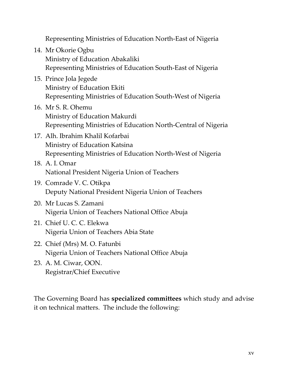Representing Ministries of Education North-East of Nigeria

- 14. Mr Okorie Ogbu Ministry of Education Abakaliki Representing Ministries of Education South-East of Nigeria
- 15. Prince Jola Jegede Ministry of Education Ekiti Representing Ministries of Education South-West of Nigeria
- 16. Mr S. R. Ohemu Ministry of Education Makurdi Representing Ministries of Education North-Central of Nigeria
- 17. Alh. Ibrahim Khalil Kofarbai Ministry of Education Katsina Representing Ministries of Education North-West of Nigeria
- 18. A. I. Omar National President Nigeria Union of Teachers
- 19. Comrade V. C. Otikpa Deputy National President Nigeria Union of Teachers
- 20. Mr Lucas S. Zamani Nigeria Union of Teachers National Office Abuja
- 21. Chief U. C. C. Elekwa Nigeria Union of Teachers Abia State
- 22. Chief (Mrs) M. O. Fatunbi Nigeria Union of Teachers National Office Abuja
- 23. A. M. Ciwar, OON. Registrar/Chief Executive

The Governing Board has **specialized committees** which study and advise it on technical matters. The include the following: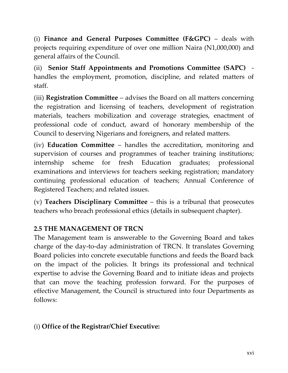(i) **Finance and General Purposes Committee (F&GPC)** – deals with projects requiring expenditure of over one million Naira (N1,000,000) and general affairs of the Council.

(ii) **Senior Staff Appointments and Promotions Committee (SAPC)**  handles the employment, promotion, discipline, and related matters of staff.

(iii) **Registration Committee** – advises the Board on all matters concerning the registration and licensing of teachers, development of registration materials, teachers mobilization and coverage strategies, enactment of professional code of conduct, award of honorary membership of the Council to deserving Nigerians and foreigners, and related matters.

(iv) **Education Committee** – handles the accreditation, monitoring and supervision of courses and programmes of teacher training institutions; internship scheme for fresh Education graduates; professional examinations and interviews for teachers seeking registration; mandatory continuing professional education of teachers; Annual Conference of Registered Teachers; and related issues.

(v) **Teachers Disciplinary Committee** – this is a tribunal that prosecutes teachers who breach professional ethics (details in subsequent chapter).

# **2.5 THE MANAGEMENT OF TRCN**

The Management team is answerable to the Governing Board and takes charge of the day-to-day administration of TRCN. It translates Governing Board policies into concrete executable functions and feeds the Board back on the impact of the policies. It brings its professional and technical expertise to advise the Governing Board and to initiate ideas and projects that can move the teaching profession forward. For the purposes of effective Management, the Council is structured into four Departments as follows:

# (i) **Office of the Registrar/Chief Executive:**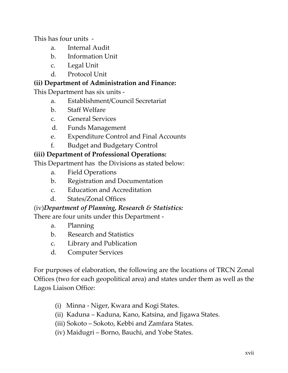This has four units -

- a. Internal Audit
- b. Information Unit
- c. Legal Unit
- d. Protocol Unit

# **(ii) Department of Administration and Finance:**

This Department has six units -

- a. Establishment/Council Secretariat
- b. Staff Welfare
- c. General Services
- d. Funds Management
- e. Expenditure Control and Final Accounts
- f. Budget and Budgetary Control

# **(iii) Department of Professional Operations:**

This Department has the Divisions as stated below:

- a. Field Operations
- b. Registration and Documentation
- c. Education and Accreditation
- d. States/Zonal Offices

# (iv)*Department of Planning, Research & Statistics:*

There are four units under this Department -

- a. Planning
- b. Research and Statistics
- c. Library and Publication
- d. Computer Services

For purposes of elaboration, the following are the locations of TRCN Zonal Offices (two for each geopolitical area) and states under them as well as the Lagos Liaison Office:

- (i) Minna Niger, Kwara and Kogi States.
- (ii) Kaduna Kaduna, Kano, Katsina, and Jigawa States.
- (iii) Sokoto Sokoto, Kebbi and Zamfara States.
- (iv) Maidugri Borno, Bauchi, and Yobe States.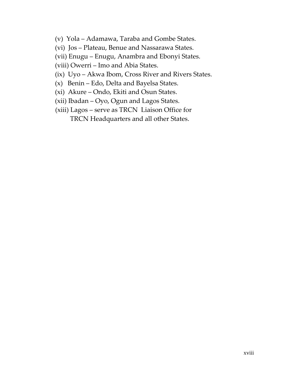- (v) Yola Adamawa, Taraba and Gombe States.
- (vi) Jos Plateau, Benue and Nassarawa States.

(vii) Enugu – Enugu, Anambra and Ebonyi States.

(viii) Owerri – Imo and Abia States.

- (ix) Uyo Akwa Ibom, Cross River and Rivers States.
- (x) Benin Edo, Delta and Bayelsa States.
- (xi) Akure Ondo, Ekiti and Osun States.
- (xii) Ibadan Oyo, Ogun and Lagos States.
- (xiii) Lagos serve as TRCN Liaison Office for TRCN Headquarters and all other States.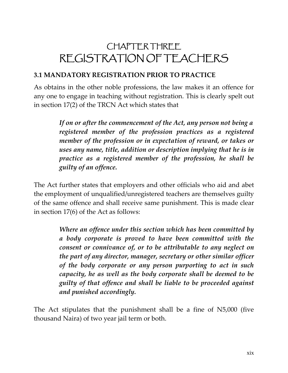# CHAPTER THREE REGISTRATION OF TEACHERS

# **3.1 MANDATORY REGISTRATION PRIOR TO PRACTICE**

As obtains in the other noble professions, the law makes it an offence for any one to engage in teaching without registration. This is clearly spelt out in section 17(2) of the TRCN Act which states that

> *If on or after the commencement of the Act, any person not being a registered member of the profession practices as a registered member of the profession or in expectation of reward, or takes or uses any name, title, addition or description implying that he is in practice as a registered member of the profession, he shall be guilty of an offence.*

The Act further states that employers and other officials who aid and abet the employment of unqualified/unregistered teachers are themselves guilty of the same offence and shall receive same punishment. This is made clear in section 17(6) of the Act as follows:

> *Where an offence under this section which has been committed by a body corporate is proved to have been committed with the consent or connivance of, or to be attributable to any neglect on the part of any director, manager, secretary or other similar officer of the body corporate or any person purporting to act in such capacity, he as well as the body corporate shall be deemed to be guilty of that offence and shall be liable to be proceeded against and punished accordingly.*

The Act stipulates that the punishment shall be a fine of N5,000 (five thousand Naira) of two year jail term or both.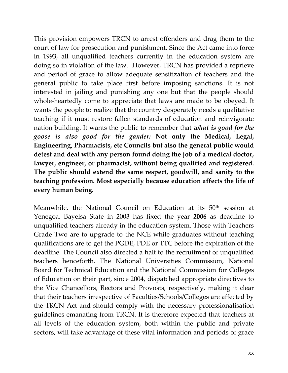This provision empowers TRCN to arrest offenders and drag them to the court of law for prosecution and punishment. Since the Act came into force in 1993, all unqualified teachers currently in the education system are doing so in violation of the law. However, TRCN has provided a reprieve and period of grace to allow adequate sensitization of teachers and the general public to take place first before imposing sanctions. It is not interested in jailing and punishing any one but that the people should whole-heartedly come to appreciate that laws are made to be obeyed. It wants the people to realize that the country desperately needs a qualitative teaching if it must restore fallen standards of education and reinvigorate nation building. It wants the public to remember that *what is good for the goose is also good for the gander:* **Not only the Medical, Legal, Engineering, Pharmacists, etc Councils but also the general public would detest and deal with any person found doing the job of a medical doctor, lawyer, engineer, or pharmacist, without being qualified and registered. The public should extend the same respect, goodwill, and sanity to the teaching profession. Most especially because education affects the life of every human being.**

Meanwhile, the National Council on Education at its 50<sup>th</sup> session at Yenegoa, Bayelsa State in 2003 has fixed the year **2006** as deadline to unqualified teachers already in the education system. Those with Teachers Grade Two are to upgrade to the NCE while graduates without teaching qualifications are to get the PGDE, PDE or TTC before the expiration of the deadline. The Council also directed a halt to the recruitment of unqualified teachers henceforth. The National Universities Commission, National Board for Technical Education and the National Commission for Colleges of Education on their part, since 2004, dispatched appropriate directives to the Vice Chancellors, Rectors and Provosts, respectively, making it clear that their teachers irrespective of Faculties/Schools/Colleges are affected by the TRCN Act and should comply with the necessary professionalisation guidelines emanating from TRCN. It is therefore expected that teachers at all levels of the education system, both within the public and private sectors, will take advantage of these vital information and periods of grace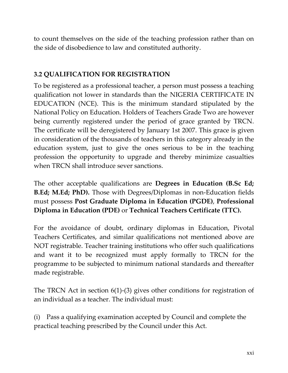to count themselves on the side of the teaching profession rather than on the side of disobedience to law and constituted authority.

#### **3.2 QUALIFICATION FOR REGISTRATION**

To be registered as a professional teacher, a person must possess a teaching qualification not lower in standards than the NIGERIA CERTIFICATE IN EDUCATION (NCE). This is the minimum standard stipulated by the National Policy on Education. Holders of Teachers Grade Two are however being currently registered under the period of grace granted by TRCN. The certificate will be deregistered by January 1st 2007. This grace is given in consideration of the thousands of teachers in this category already in the education system, just to give the ones serious to be in the teaching profession the opportunity to upgrade and thereby minimize casualties when TRCN shall introduce sever sanctions.

The other acceptable qualifications are **Degrees in Education (B.Sc Ed; B.Ed; M.Ed; PhD).** Those with Degrees/Diplomas in non-Education fields must possess **Post Graduate Diploma in Education (PGDE)**, **Professional Diploma in Education (PDE)** or **Technical Teachers Certificate (TTC).**

For the avoidance of doubt, ordinary diplomas in Education, Pivotal Teachers Certificates, and similar qualifications not mentioned above are NOT registrable. Teacher training institutions who offer such qualifications and want it to be recognized must apply formally to TRCN for the programme to be subjected to minimum national standards and thereafter made registrable.

The TRCN Act in section 6(1)-(3) gives other conditions for registration of an individual as a teacher. The individual must:

(i) Pass a qualifying examination accepted by Council and complete the practical teaching prescribed by the Council under this Act.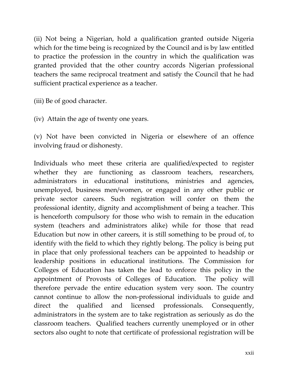(ii) Not being a Nigerian, hold a qualification granted outside Nigeria which for the time being is recognized by the Council and is by law entitled to practice the profession in the country in which the qualification was granted provided that the other country accords Nigerian professional teachers the same reciprocal treatment and satisfy the Council that he had sufficient practical experience as a teacher.

(iii) Be of good character.

(iv) Attain the age of twenty one years.

(v) Not have been convicted in Nigeria or elsewhere of an offence involving fraud or dishonesty.

Individuals who meet these criteria are qualified/expected to register whether they are functioning as classroom teachers, researchers, administrators in educational institutions, ministries and agencies, unemployed, business men/women, or engaged in any other public or private sector careers. Such registration will confer on them the professional identity, dignity and accomplishment of being a teacher. This is henceforth compulsory for those who wish to remain in the education system (teachers and administrators alike) while for those that read Education but now in other careers, it is still something to be proud of, to identify with the field to which they rightly belong. The policy is being put in place that only professional teachers can be appointed to headship or leadership positions in educational institutions. The Commission for Colleges of Education has taken the lead to enforce this policy in the appointment of Provosts of Colleges of Education. The policy will therefore pervade the entire education system very soon. The country cannot continue to allow the non-professional individuals to guide and direct the qualified and licensed professionals. Consequently, administrators in the system are to take registration as seriously as do the classroom teachers. Qualified teachers currently unemployed or in other sectors also ought to note that certificate of professional registration will be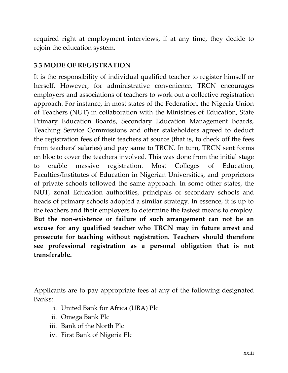required right at employment interviews, if at any time, they decide to rejoin the education system.

# **3.3 MODE OF REGISTRATION**

It is the responsibility of individual qualified teacher to register himself or herself. However, for administrative convenience, TRCN encourages employers and associations of teachers to work out a collective registration approach. For instance, in most states of the Federation, the Nigeria Union of Teachers (NUT) in collaboration with the Ministries of Education, State Primary Education Boards, Secondary Education Management Boards, Teaching Service Commissions and other stakeholders agreed to deduct the registration fees of their teachers at source (that is, to check off the fees from teachers' salaries) and pay same to TRCN. In turn, TRCN sent forms en bloc to cover the teachers involved. This was done from the initial stage to enable massive registration. Most Colleges of Education, Faculties/Institutes of Education in Nigerian Universities, and proprietors of private schools followed the same approach. In some other states, the NUT, zonal Education authorities, principals of secondary schools and heads of primary schools adopted a similar strategy. In essence, it is up to the teachers and their employers to determine the fastest means to employ. **But the non-existence or failure of such arrangement can not be an excuse for any qualified teacher who TRCN may in future arrest and prosecute for teaching without registration. Teachers should therefore see professional registration as a personal obligation that is not transferable.**

Applicants are to pay appropriate fees at any of the following designated Banks:

- i. United Bank for Africa (UBA) Plc
- ii. Omega Bank Plc
- iii. Bank of the North Plc
- iv. First Bank of Nigeria Plc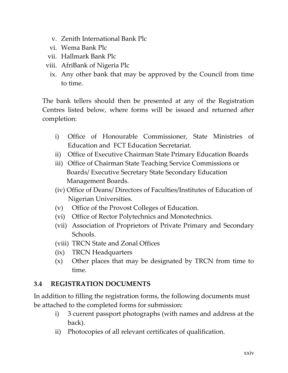- v. Zenith International Bank Plc
- vi. Wema Bank Plc
- vii. Hallmark Bank Plc
- viii. AfriBank of Nigeria Plc
	- ix. Any other bank that may be approved by the Council from time to time.

The bank tellers should then be presented at any of the Registration Centres listed below, where forms will be issued and returned after completion:

- i) Office of Honourable Commissioner, State Ministries of Education and FCT Education Secretariat.
- ii) Office of Executive Chairman State Primary Education Boards
- iii) Office of Chairman State Teaching Service Commissions or Boards/ Executive Secretary State Secondary Education Management Boards.
- (iv) Office of Deans/ Directors of Faculties/Institutes of Education of Nigerian Universities.
- (v) Office of the Provost Colleges of Education.
- (vi) Office of Rector Polytechnics and Monotechnics.
- (vii) Association of Proprietors of Private Primary and Secondary Schools.
- (viii) TRCN State and Zonal Offices
- (ix) TRCN Headquarters
- (x) Other places that may be designated by TRCN from time to time.

# **3.4 REGISTRATION DOCUMENTS**

In addition to filling the registration forms, the following documents must be attached to the completed forms for submission:

- i) 3 current passport photographs (with names and address at the back).
- ii) Photocopies of all relevant certificates of qualification.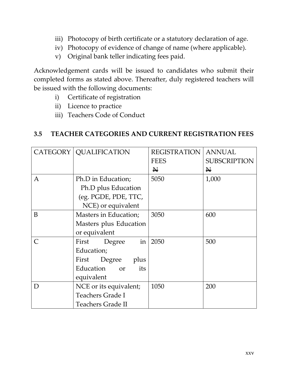- iii) Photocopy of birth certificate or a statutory declaration of age.
- iv) Photocopy of evidence of change of name (where applicable).
- v) Original bank teller indicating fees paid.

Acknowledgement cards will be issued to candidates who submit their completed forms as stated above. Thereafter, duly registered teachers will be issued with the following documents:

- i) Certificate of registration
- ii) Licence to practice
- iii) Teachers Code of Conduct

#### **3.5 TEACHER CATEGORIES AND CURRENT REGISTRATION FEES**

|              | CATEGORY   QUALIFICATION | <b>REGISTRATION</b> | <b>ANNUAL</b>       |
|--------------|--------------------------|---------------------|---------------------|
|              |                          | <b>FEES</b>         | <b>SUBSCRIPTION</b> |
|              |                          | ₩                   | $\mathbf{H}$        |
| A            | Ph.D in Education;       | 5050                | 1,000               |
|              | Ph.D plus Education      |                     |                     |
|              | (eg. PGDE, PDE, TTC,     |                     |                     |
|              | NCE) or equivalent       |                     |                     |
| B            | Masters in Education;    | 3050                | 600                 |
|              | Masters plus Education   |                     |                     |
|              | or equivalent            |                     |                     |
| $\mathsf{C}$ | in<br>First<br>Degree    | 2050                | 500                 |
|              | Education;               |                     |                     |
|              | First<br>Degree<br>plus  |                     |                     |
|              | Education or<br>its      |                     |                     |
|              | equivalent               |                     |                     |
| D            | NCE or its equivalent;   | 1050                | 200                 |
|              | <b>Teachers Grade I</b>  |                     |                     |
|              | <b>Teachers Grade II</b> |                     |                     |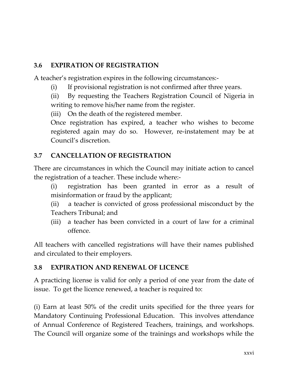# **3.6 EXPIRATION OF REGISTRATION**

A teacher's registration expires in the following circumstances:-

(i) If provisional registration is not confirmed after three years.

(ii) By requesting the Teachers Registration Council of Nigeria in writing to remove his/her name from the register.

(iii) On the death of the registered member.

Once registration has expired, a teacher who wishes to become registered again may do so. However, re-instatement may be at Council's discretion.

# **3.7 CANCELLATION OF REGISTRATION**

There are circumstances in which the Council may initiate action to cancel the registration of a teacher. These include where:-

- (i) registration has been granted in error as a result of misinformation or fraud by the applicant;
- (ii) a teacher is convicted of gross professional misconduct by the Teachers Tribunal; and
- (iii) a teacher has been convicted in a court of law for a criminal offence.

All teachers with cancelled registrations will have their names published and circulated to their employers.

# **3.8 EXPIRATION AND RENEWAL OF LICENCE**

A practicing license is valid for only a period of one year from the date of issue. To get the licence renewed, a teacher is required to:

(i) Earn at least 50% of the credit units specified for the three years for Mandatory Continuing Professional Education. This involves attendance of Annual Conference of Registered Teachers, trainings, and workshops. The Council will organize some of the trainings and workshops while the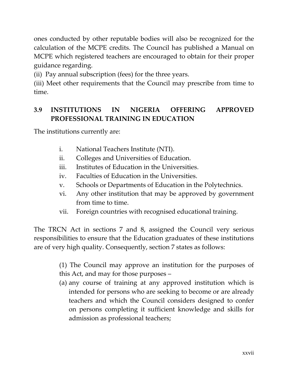ones conducted by other reputable bodies will also be recognized for the calculation of the MCPE credits. The Council has published a Manual on MCPE which registered teachers are encouraged to obtain for their proper guidance regarding.

(ii) Pay annual subscription (fees) for the three years.

(iii) Meet other requirements that the Council may prescribe from time to time.

# **3.9 INSTITUTIONS IN NIGERIA OFFERING APPROVED PROFESSIONAL TRAINING IN EDUCATION**

The institutions currently are:

- i. National Teachers Institute (NTI).
- ii. Colleges and Universities of Education.
- iii. Institutes of Education in the Universities.
- iv. Faculties of Education in the Universities.
- v. Schools or Departments of Education in the Polytechnics.
- vi. Any other institution that may be approved by government from time to time.
- vii. Foreign countries with recognised educational training.

The TRCN Act in sections 7 and 8, assigned the Council very serious responsibilities to ensure that the Education graduates of these institutions are of very high quality. Consequently, section 7 states as follows:

> (1) The Council may approve an institution for the purposes of this Act, and may for those purposes –

> (a) any course of training at any approved institution which is intended for persons who are seeking to become or are already teachers and which the Council considers designed to confer on persons completing it sufficient knowledge and skills for admission as professional teachers;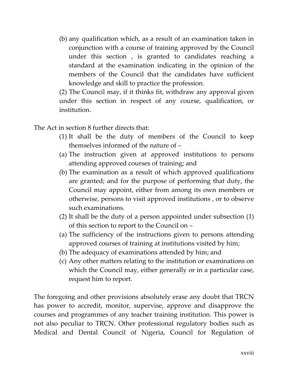(b) any qualification which, as a result of an examination taken in conjunction with a course of training approved by the Council under this section , is granted to candidates reaching a standard at the examination indicating in the opinion of the members of the Council that the candidates have sufficient knowledge and skill to practice the profession.

(2) The Council may, if it thinks fit, withdraw any approval given under this section in respect of any course, qualification, or institution.

The Act in section 8 further directs that:

- (1) It shall be the duty of members of the Council to keep themselves informed of the nature of –
- (a) The instruction given at approved institutions to persons attending approved courses of training; and
- (b) The examination as a result of which approved qualifications are granted; and for the purpose of performing that duty, the Council may appoint, either from among its own members or otherwise, persons to visit approved institutions , or to observe such examinations.
- (2) It shall be the duty of a person appointed under subsection (1) of this section to report to the Council on –
- (a) The sufficiency of the instructions given to persons attending approved courses of training at institutions visited by him;
- (b) The adequacy of examinations attended by him; and
- (c) Any other matters relating to the institution or examinations on which the Council may, either generally or in a particular case, request him to report.

The foregoing and other provisions absolutely erase any doubt that TRCN has power to accredit, monitor, supervise, approve and disapprove the courses and programmes of any teacher training institution. This power is not also peculiar to TRCN. Other professional regulatory bodies such as Medical and Dental Council of Nigeria, Council for Regulation of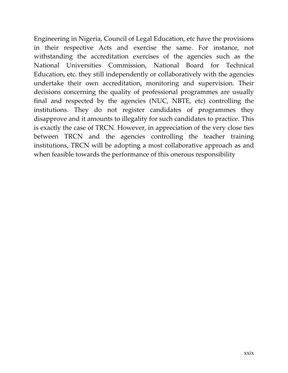Engineering in Nigeria, Council of Legal Education, etc have the provisions in their respective Acts and exercise the same. For instance, not withstanding the accreditation exercises of the agencies such as the National Universities Commission, National Board for Technical Education, etc. they still independently or collaboratively with the agencies undertake their own accreditation, monitoring and supervision. Their decisions concerning the quality of professional programmes are usually final and respected by the agencies (NUC, NBTE, etc) controlling the institutions. They do not register candidates of programmes they disapprove and it amounts to illegality for such candidates to practice. This is exactly the case of TRCN. However, in appreciation of the very close ties between TRCN and the agencies controlling the teacher training institutions, TRCN will be adopting a most collaborative approach as and when feasible towards the performance of this onerous responsibility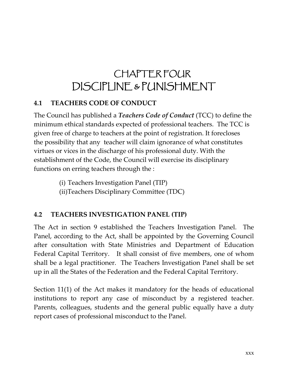# **CHAPTER FOUR** DISCIPLINE & PUNISHMENT

# **4.1 TEACHERS CODE OF CONDUCT**

The Council has published a *Teachers Code of Conduct* (TCC) to define the minimum ethical standards expected of professional teachers. The TCC is given free of charge to teachers at the point of registration. It forecloses the possibility that any teacher will claim ignorance of what constitutes virtues or vices in the discharge of his professional duty. With the establishment of the Code, the Council will exercise its disciplinary functions on erring teachers through the :

(i) Teachers Investigation Panel (TIP)

(ii)Teachers Disciplinary Committee (TDC)

# **4.2 TEACHERS INVESTIGATION PANEL (TIP)**

The Act in section 9 established the Teachers Investigation Panel. The Panel, according to the Act, shall be appointed by the Governing Council after consultation with State Ministries and Department of Education Federal Capital Territory. It shall consist of five members, one of whom shall be a legal practitioner. The Teachers Investigation Panel shall be set up in all the States of the Federation and the Federal Capital Territory.

Section 11(1) of the Act makes it mandatory for the heads of educational institutions to report any case of misconduct by a registered teacher. Parents, colleagues, students and the general public equally have a duty report cases of professional misconduct to the Panel.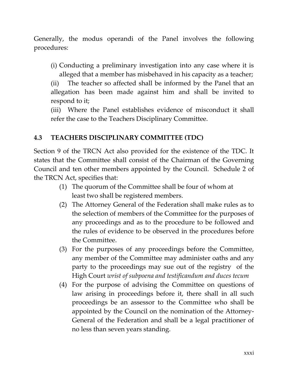Generally, the modus operandi of the Panel involves the following procedures:

(i) Conducting a preliminary investigation into any case where it is alleged that a member has misbehaved in his capacity as a teacher;

(ii) The teacher so affected shall be informed by the Panel that an allegation has been made against him and shall be invited to respond to it;

(iii) Where the Panel establishes evidence of misconduct it shall refer the case to the Teachers Disciplinary Committee.

# **4.3 TEACHERS DISCIPLINARY COMMITTEE (TDC)**

Section 9 of the TRCN Act also provided for the existence of the TDC. It states that the Committee shall consist of the Chairman of the Governing Council and ten other members appointed by the Council. Schedule 2 of the TRCN Act, specifies that:

- (1) The quorum of the Committee shall be four of whom at least two shall be registered members.
- (2) The Attorney General of the Federation shall make rules as to the selection of members of the Committee for the purposes of any proceedings and as to the procedure to be followed and the rules of evidence to be observed in the procedures before the Committee.
- (3) For the purposes of any proceedings before the Committee, any member of the Committee may administer oaths and any party to the proceedings may sue out of the registry of the High Court *wrist of subpoena and testificandum and duces tecum*
- (4) For the purpose of advising the Committee on questions of law arising in proceedings before it, there shall in all such proceedings be an assessor to the Committee who shall be appointed by the Council on the nomination of the Attorney-General of the Federation and shall be a legal practitioner of no less than seven years standing.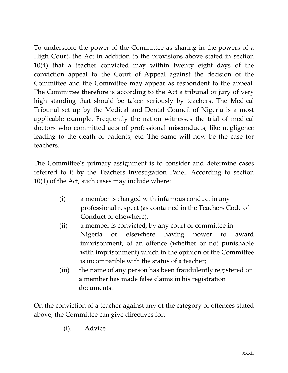To underscore the power of the Committee as sharing in the powers of a High Court, the Act in addition to the provisions above stated in section 10(4) that a teacher convicted may within twenty eight days of the conviction appeal to the Court of Appeal against the decision of the Committee and the Committee may appear as respondent to the appeal. The Committee therefore is according to the Act a tribunal or jury of very high standing that should be taken seriously by teachers. The Medical Tribunal set up by the Medical and Dental Council of Nigeria is a most applicable example. Frequently the nation witnesses the trial of medical doctors who committed acts of professional misconducts, like negligence leading to the death of patients, etc. The same will now be the case for teachers.

The Committee's primary assignment is to consider and determine cases referred to it by the Teachers Investigation Panel. According to section 10(1) of the Act, such cases may include where:

- (i) a member is charged with infamous conduct in any professional respect (as contained in the Teachers Code of Conduct or elsewhere).
- (ii) a member is convicted, by any court or committee in Nigeria or elsewhere having power to award imprisonment, of an offence (whether or not punishable with imprisonment) which in the opinion of the Committee is incompatible with the status of a teacher;
- (iii) the name of any person has been fraudulently registered or a member has made false claims in his registration documents.

On the conviction of a teacher against any of the category of offences stated above, the Committee can give directives for:

(i). Advice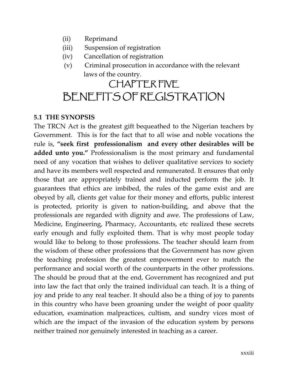- (ii) Reprimand
- (iii) Suspension of registration
- (iv) Cancellation of registration
- (v) Criminal prosecution in accordance with the relevant laws of the country.

# CHAPTER FIVE BENEFITS OF REGISTRATION

#### **5.1 THE SYNOPSIS**

The TRCN Act is the greatest gift bequeathed to the Nigerian teachers by Government. This is for the fact that to all wise and noble vocations the rule is, **"seek first professionalism and every other desirables will be added unto you."** Professionalism is the most primary and fundamental need of any vocation that wishes to deliver qualitative services to society and have its members well respected and remunerated. It ensures that only those that are appropriately trained and inducted perform the job. It guarantees that ethics are imbibed, the rules of the game exist and are obeyed by all, clients get value for their money and efforts, public interest is protected, priority is given to nation-building, and above that the professionals are regarded with dignity and awe. The professions of Law, Medicine, Engineering, Pharmacy, Accountants, etc realized these secrets early enough and fully exploited them. That is why most people today would like to belong to those professions. The teacher should learn from the wisdom of these other professions that the Government has now given the teaching profession the greatest empowerment ever to match the performance and social worth of the counterparts in the other professions. The should be proud that at the end, Government has recognized and put into law the fact that only the trained individual can teach. It is a thing of joy and pride to any real teacher. It should also be a thing of joy to parents in this country who have been groaning under the weight of poor quality education, examination malpractices, cultism, and sundry vices most of which are the impact of the invasion of the education system by persons neither trained nor genuinely interested in teaching as a career.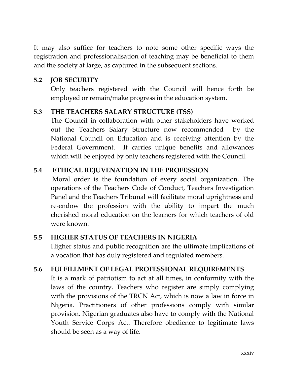It may also suffice for teachers to note some other specific ways the registration and professionalisation of teaching may be beneficial to them and the society at large, as captured in the subsequent sections.

# **5.2 JOB SECURITY**

Only teachers registered with the Council will hence forth be employed or remain/make progress in the education system.

# **5.3 THE TEACHERS SALARY STRUCTURE (TSS)**

The Council in collaboration with other stakeholders have worked out the Teachers Salary Structure now recommended by the National Council on Education and is receiving attention by the Federal Government. It carries unique benefits and allowances which will be enjoyed by only teachers registered with the Council.

# **5.4 ETHICAL REJUVENATION IN THE PROFESSION**

Moral order is the foundation of every social organization. The operations of the Teachers Code of Conduct, Teachers Investigation Panel and the Teachers Tribunal will facilitate moral uprightness and re-endow the profession with the ability to impart the much cherished moral education on the learners for which teachers of old were known.

# **5.5 HIGHER STATUS OF TEACHERS IN NIGERIA**

Higher status and public recognition are the ultimate implications of a vocation that has duly registered and regulated members.

# **5.6 FULFILLMENT OF LEGAL PROFESSIONAL REQUIREMENTS**

It is a mark of patriotism to act at all times, in conformity with the laws of the country. Teachers who register are simply complying with the provisions of the TRCN Act, which is now a law in force in Nigeria. Practitioners of other professions comply with similar provision. Nigerian graduates also have to comply with the National Youth Service Corps Act. Therefore obedience to legitimate laws should be seen as a way of life.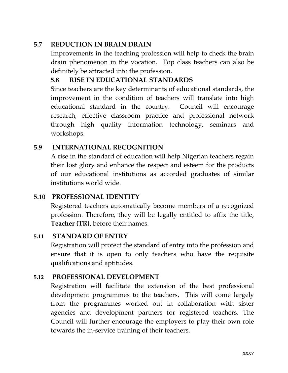# **5.7 REDUCTION IN BRAIN DRAIN**

Improvements in the teaching profession will help to check the brain drain phenomenon in the vocation. Top class teachers can also be definitely be attracted into the profession.

# **5.8 RISE IN EDUCATIONAL STANDARDS**

Since teachers are the key determinants of educational standards, the improvement in the condition of teachers will translate into high educational standard in the country. Council will encourage research, effective classroom practice and professional network through high quality information technology, seminars and workshops.

# **5.9 INTERNATIONAL RECOGNITION**

A rise in the standard of education will help Nigerian teachers regain their lost glory and enhance the respect and esteem for the products of our educational institutions as accorded graduates of similar institutions world wide.

# **5.10 PROFESSIONAL IDENTITY**

Registered teachers automatically become members of a recognized profession. Therefore, they will be legally entitled to affix the title, **Teacher (TR),** before their names.

# **5.11 STANDARD OF ENTRY**

Registration will protect the standard of entry into the profession and ensure that it is open to only teachers who have the requisite qualifications and aptitudes.

# **5.12 PROFESSIONAL DEVELOPMENT**

Registration will facilitate the extension of the best professional development programmes to the teachers. This will come largely from the programmes worked out in collaboration with sister agencies and development partners for registered teachers. The Council will further encourage the employers to play their own role towards the in-service training of their teachers.